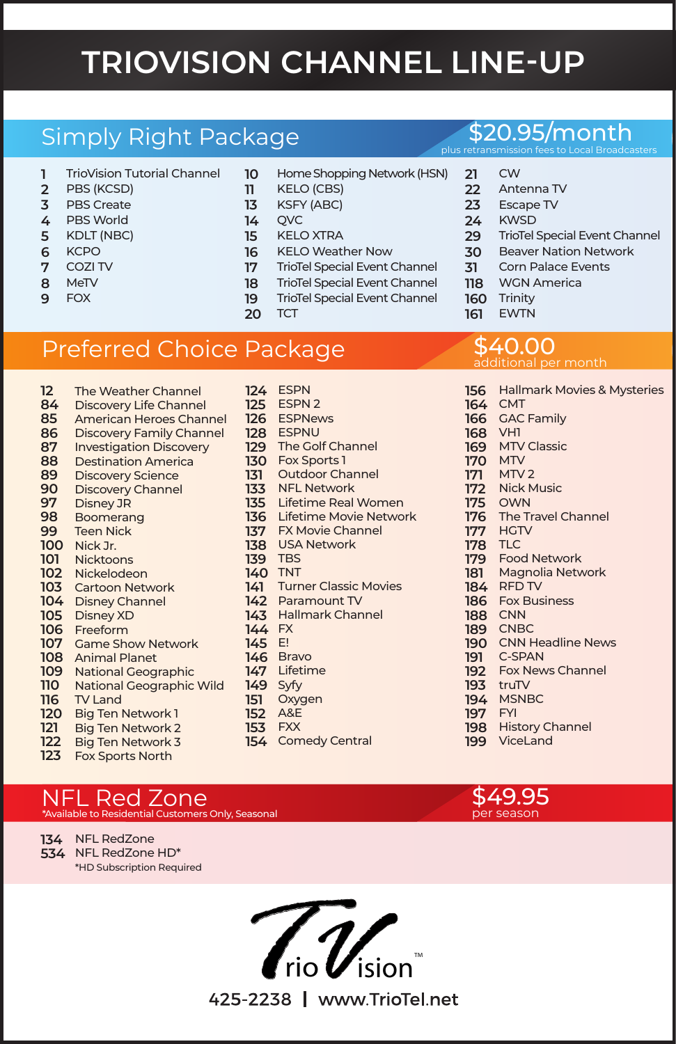# **TRIOVISION CHANNEL LINE-UP**

## Simply Right Package

- TrioVision Tutorial Channel
- PBS (KCSD)
- PBS Create PBS World
- 
- KDLT (NBC) **KCPO**
- 
- COZI TV
- MeTV
- FOX
- Home Shopping Network (HSN)
- KELO (CBS)
	- KSFY (ABC)
- **OVC**
- KELO XTRA
- KELO Weather Now
- TrioTel Special Event Channel
- TrioTel Special Event Channel
- TrioTel Special Event Channel

Outdoor Channel NFL Network

 **TCT** 

# Preferred Choice Package

- Nick Jr. Nickelodeon Cartoon Network Disney Channel Disney XD Freeform Game Show Network Animal Planet National Geographic Big Ten Network 1 The Weather Channel Discovery Life Channel American Heroes Channel Discovery Family Channel Investigation Discovery Destination America Discovery Science Discovery Channel Disney JR Boomerang Teen Nick **Nicktoons** National Geographic Wild **149** Syfy TV Land Big Ten Network 2 Big Ten Network 3 ESPN ESPN 2 ESPNews ESPNU The Golf Channel Fox Sports 1 Lifetime Real Women Lifetime Movie Network FX Movie Channel USA Network TBS TNT Turner Classic Movies Paramount TV Hallmark Channel FX E! Bravo Lifetime Oxygen A&E FXX Comedy Central
- Fox Sports North

#### NFL Red Zone \*Available to Residential Customers Only, Seasonal

 NFL RedZone NFL RedZone HD\* \*HD Subscription Required



#### \$20.95/month plus retransmission fees to Local Broadcasters

CW

- Antenna TV
- 
- Escape TV
- KWSD
- TrioTel Special Event Channel
- Beaver Nation Network
- Corn Palace Events
- WGN America
- Trinity
- EWTN

#### \$40.00 additional per month

- Hallmark Movies & Mysteries VH1 MTV Classic MTV Nick Music OWN The Travel Channel HGTV TLC Food Network RFD TV Fox Business CNN CNBC CNN Headline News Fox News Channel truTV **CMT** GAC Family MTV<sub>2</sub> Magnolia Network C-SPAN
- MSNBC
- FYI
- History Channel
- ViceLand
- \$49.95 per season